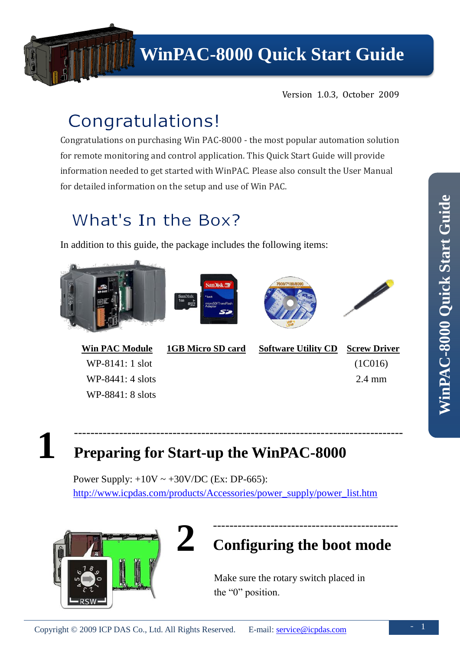

Version 1.0.3, October 2009

# Congratulations!

Congratulations on purchasing Win PAC-8000 - the most popular automation solution for remote monitoring and control application. This Quick Start Guide will provide information needed to get started with WinPAC. Please also consult the User Manual for detailed information on the setup and use of Win PAC.

### What's In the Box?

In addition to this guide, the package includes the following items:









WP-8141: 1 slot WP-8441: 4 slots WP-8841: 8 slots

**Win PAC Module 1GB Micro SD card Software Utility CD Screw Driver**

 (1C016) 2.4 mm

**1 Preparing for Start-up the WinPAC-8000**

> Power Supply:  $+10V \sim +30V/DC$  (Ex: DP-665): [http://www.icpdas.com/products/Accessories/power\\_supply/power\\_list.htm](http://www.icpdas.com/products/Accessories/power_supply/power_list.htm)

--------------------------------------------------------------------------------



### --------------------------------------------- **Configuring the boot mode**

Make sure the rotary switch placed in the "0" position.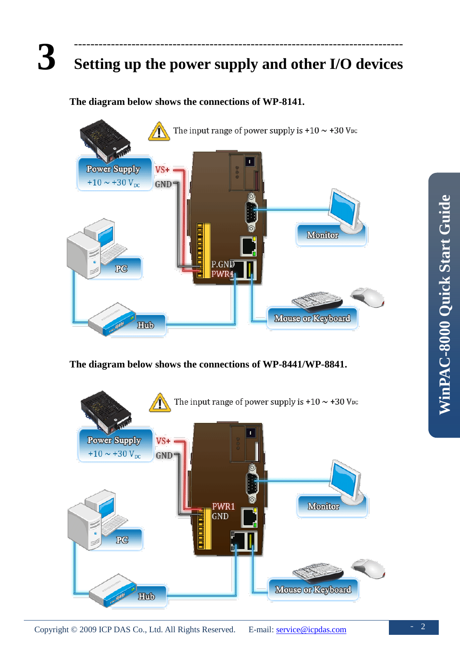### **3** -------------------------------------------------------------------------------- **Setting up the power supply and other I/O devices**

### **The diagram below shows the connections of WP-8141.**



#### **The diagram below shows the connections of WP-8441/WP-8841.**

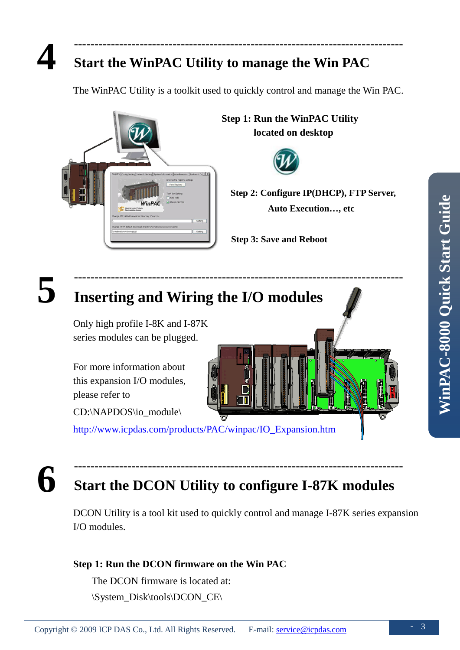### **Start the WinPAC Utility to manage the Win PAC**

The WinPAC Utility is a toolkit used to quickly control and manage the Win PAC.

--------------------------------------------------------------------------------

--------------------------------------------------------------------------------



**Step 1: Run the WinPAC Utility located on desktop**



**Step 2: Configure IP(DHCP), FTP Server, Auto Execution…, etc**

**Step 3: Save and Reboot**



# **Inserting and Wiring the I/O modules**

Only high profile I-8K and I-87K series modules can be plugged.

For more information about this expansion I/O modules, please refer to

CD:\NAPDOS\io\_module\

[http://www.icpdas.com/products/PAC/winpac/IO\\_Expansion.htm](http://www.icpdas.com/products/PAC/winpac/IO_Expansion.htm)

**6**

## **Start the DCON Utility to configure I-87K modules**

--------------------------------------------------------------------------------

DCON Utility is a tool kit used to quickly control and manage I-87K series expansion I/O modules.

### **Step 1: Run the DCON firmware on the Win PAC**

The DCON firmware is located at: \System\_Disk\tools\DCON\_CE\